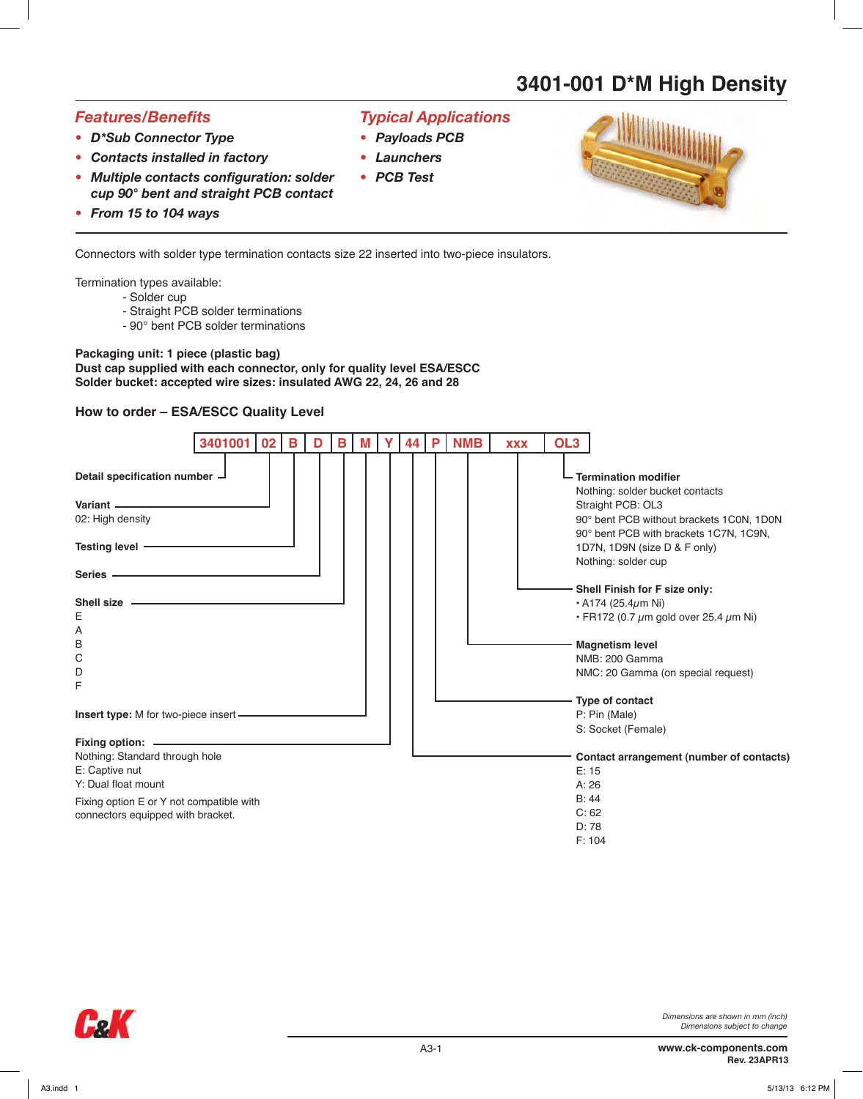## *Features/Benefits*

- *• D\*Sub Connector Type*
- *• Contacts installed in factory*
- *• Multiple contacts configuration: solder cup 90° bent and straight PCB contact*
- *• From 15 to 104 ways*

Connectors with solder type termination contacts size 22 inserted into two-piece insulators.

Termination types available:

- Solder cup
- Straight PCB solder terminations
- 90° bent PCB solder terminations

## **Packaging unit: 1 piece (plastic bag)**

**Dust cap supplied with each connector, only for quality level ESA/ESCC Solder bucket: accepted wire sizes: insulated AWG 22, 24, 26 and 28**

## **How to order – ESA/ESCC Quality Level**



*Typical Applications*

*• Payloads PCB • Launchers • PCB Test*



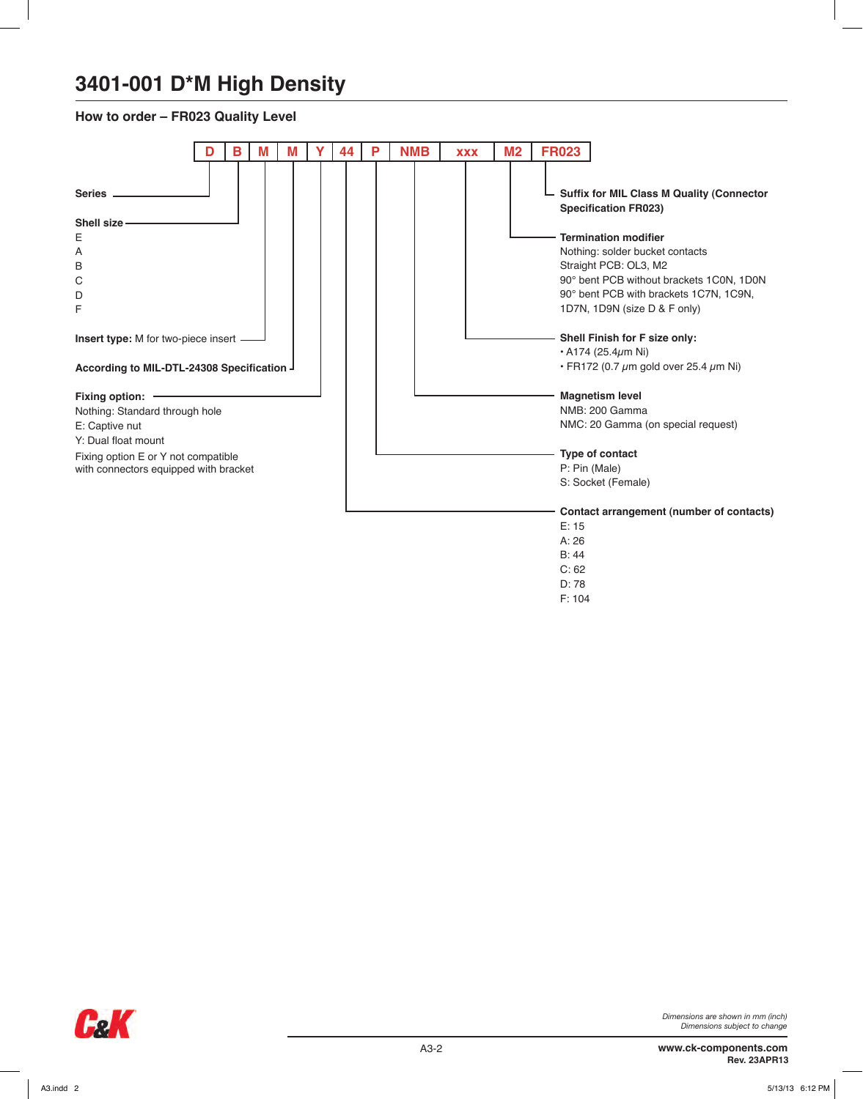### **How to order – FR023 Quality Level**

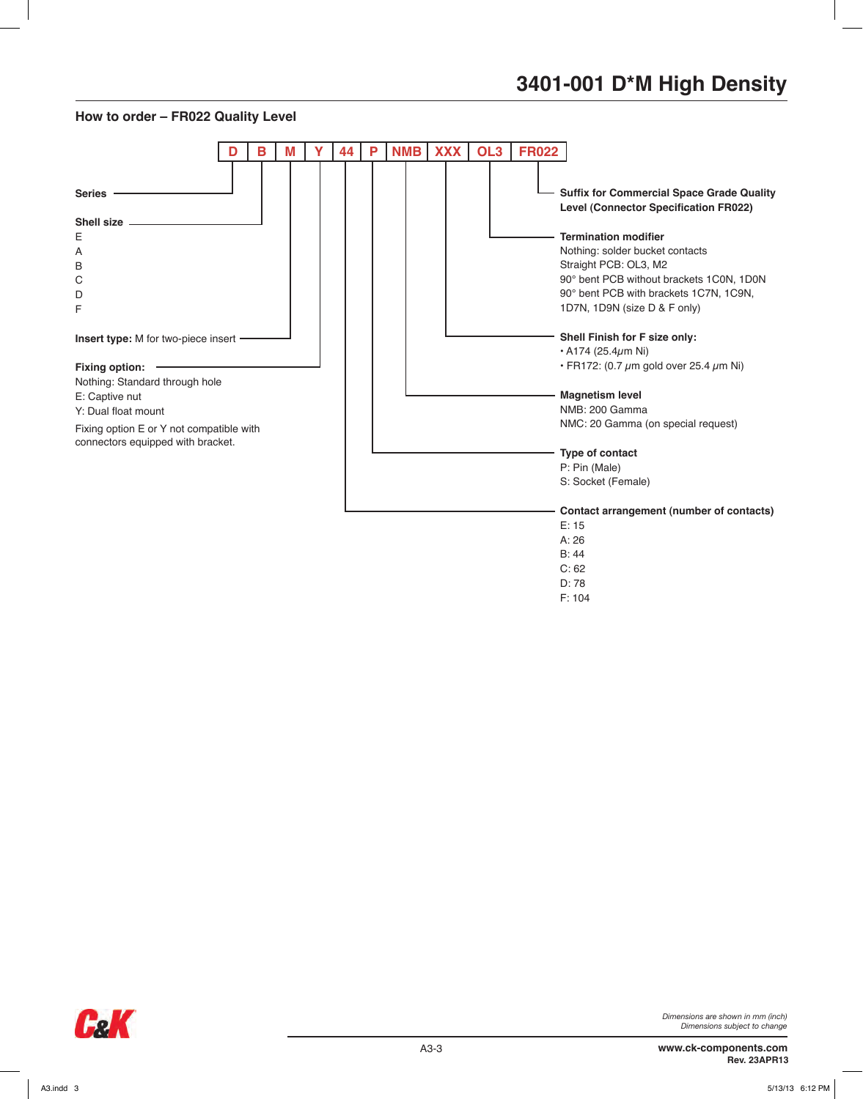#### **How to order – FR022 Quality Level**



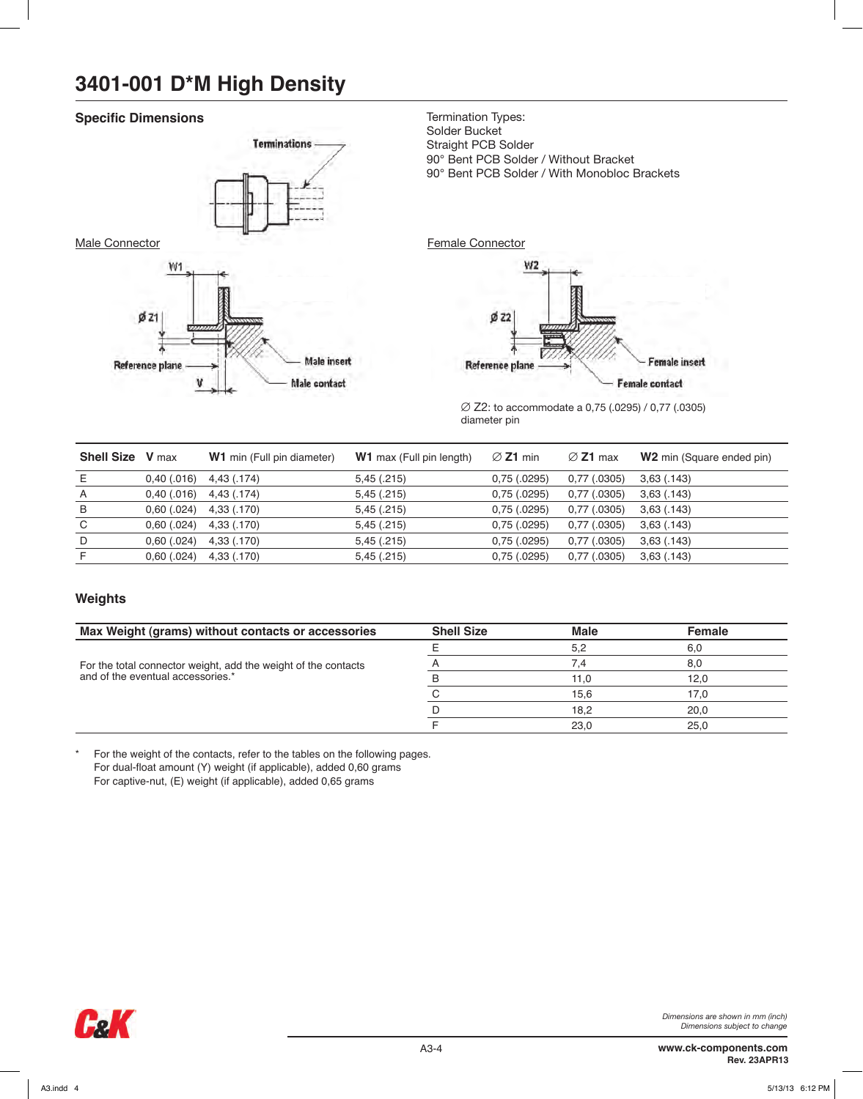### **Specific Dimensions**



Termination Types: Solder Bucket Straight PCB Solder 90° Bent PCB Solder / Without Bracket 90° Bent PCB Solder / With Monobloc Brackets



∅ Z2: to accommodate a 0,75 (.0295) / 0,77 (.0305) diameter pin

| <b>Shell Size</b> V max |               | <b>W1</b> min (Full pin diameter) | <b>W1</b> max (Full pin length) | $\varnothing$ Z1 min | $\varnothing$ Z1 max | <b>W2</b> min (Square ended pin) |
|-------------------------|---------------|-----------------------------------|---------------------------------|----------------------|----------------------|----------------------------------|
| E                       | $0,40$ (.016) | 4,43 (.174)                       | 5,45(.215)                      | 0,75(.0295)          | $0,77$ (.0305)       | 3,63(.143)                       |
| $\overline{A}$          | $0,40$ (.016) | 4,43 (.174)                       | 5,45(.215)                      | 0,75(.0295)          | $0,77$ (.0305)       | 3,63(.143)                       |
| B                       | 0,60(.024)    | 4,33 (.170)                       | 5,45(.215)                      | 0,75(.0295)          | $0,77$ (.0305)       | 3,63(.143)                       |
| C                       | 0,60(.024)    | 4,33 (.170)                       | 5,45(.215)                      | 0,75(.0295)          | $0,77$ (.0305)       | 3,63(.143)                       |
| D                       | 0,60(.024)    | 4,33 (.170)                       | 5,45(.215)                      | 0,75(.0295)          | $0,77$ (.0305)       | 3,63(.143)                       |
| F                       | 0,60(.024)    | 4,33 (.170)                       | 5,45(.215)                      | 0,75(.0295)          | $0,77$ $(.0305)$     | 3,63(.143)                       |
|                         |               |                                   |                                 |                      |                      |                                  |

### **Weights**

| Max Weight (grams) without contacts or accessories                                                  | <b>Shell Size</b> | <b>Male</b> | <b>Female</b> |
|-----------------------------------------------------------------------------------------------------|-------------------|-------------|---------------|
|                                                                                                     |                   | 5.2         | 6.0           |
| For the total connector weight, add the weight of the contacts<br>and of the eventual accessories.* |                   |             | 8.0           |
|                                                                                                     |                   | 11.0        | 12.0          |
|                                                                                                     |                   | 15.6        | 17.0          |
|                                                                                                     |                   | 18.2        | 20.0          |
|                                                                                                     |                   | 23.0        | 25.0          |

\* For the weight of the contacts, refer to the tables on the following pages. For dual-float amount (Y) weight (if applicable), added 0,60 grams For captive-nut, (E) weight (if applicable), added 0,65 grams

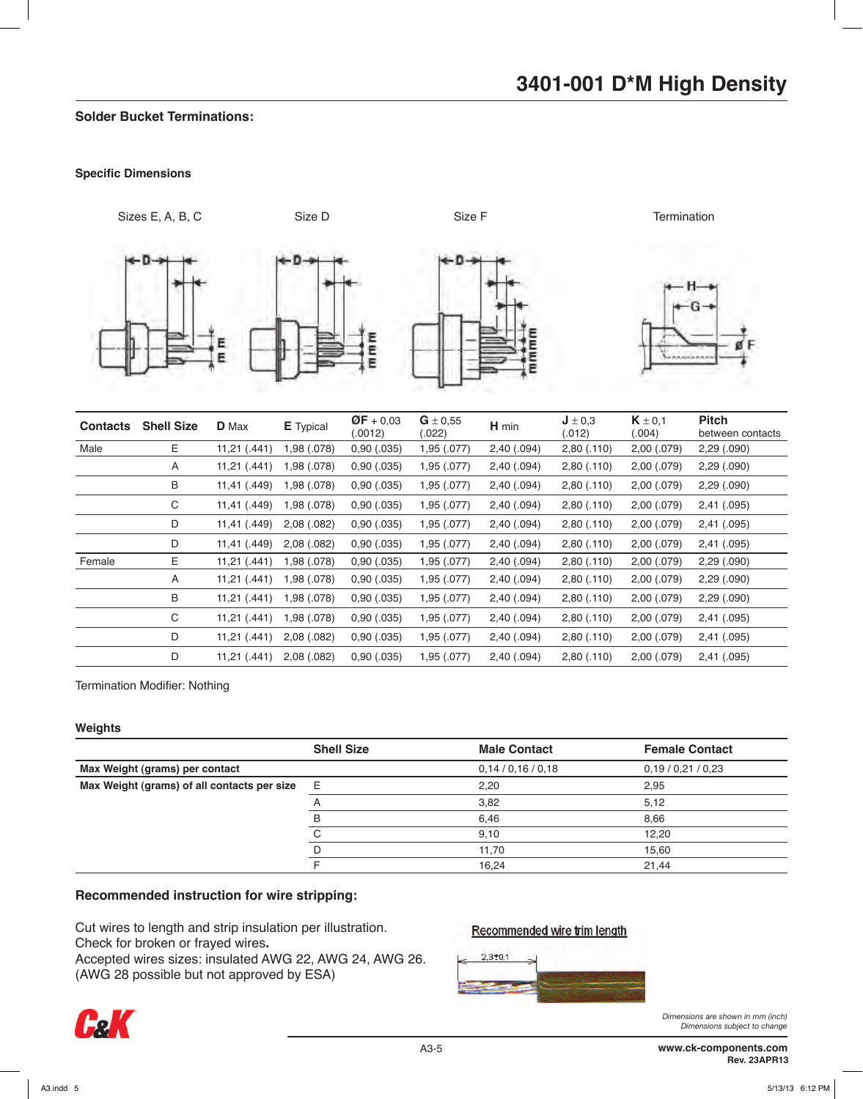### **Solder Bucket Terminations:**

#### **Specific Dimensions**



| <b>Contacts</b> | <b>Shell Size</b> | <b>D</b> Max | <b>E</b> Typical | $QF + 0.03$<br>(.0012) | $G \pm 0.55$<br>(.022) | H min       | $J \pm 0.3$<br>(.012) | $K \pm 0.1$<br>(.004) | <b>Pitch</b><br>between contacts |
|-----------------|-------------------|--------------|------------------|------------------------|------------------------|-------------|-----------------------|-----------------------|----------------------------------|
| Male            | E                 | 11,21 (.441) | 1,98 (.078)      | 0,90(.035)             | 1,95 (.077)            | 2,40 (.094) | 2,80(.110)            | 2,00 (.079)           | 2,29 (.090)                      |
|                 | A                 | 11,21(.441)  | 1,98 (.078)      | 0,90(.035)             | 1,95 (.077)            | 2,40(.094)  | 2,80(.110)            | 2,00 (.079)           | 2,29(.090)                       |
|                 | B                 | 11,41 (.449) | 1,98 (.078)      | 0,90(.035)             | 1,95 (.077)            | 2,40(.094)  | 2,80(.110)            | 2,00 (.079)           | 2,29(.090)                       |
|                 | С                 | 11,41 (.449) | 1,98 (.078)      | 0,90(.035)             | 1,95 (.077)            | 2,40(.094)  | 2,80(.110)            | 2,00 (.079)           | 2,41 (.095)                      |
|                 | D                 | 11,41 (.449) | 2,08(.082)       | 0,90(.035)             | 1,95 (.077)            | 2,40(.094)  | 2,80(.110)            | 2,00 (.079)           | 2,41 (.095)                      |
|                 | D                 | 11,41 (.449) | 2,08(.082)       | 0,90(.035)             | 1,95 (.077)            | 2,40(.094)  | 2,80(.110)            | 2,00 (.079)           | 2,41 (.095)                      |
| Female          | Е                 | 11,21(.441)  | 1,98 (.078)      | 0,90(.035)             | 1,95 (.077)            | 2,40(.094)  | 2,80(.110)            | 2,00 (.079)           | 2,29(.090)                       |
|                 | Α                 | 11,21 (.441) | 1,98 (.078)      | 0,90(.035)             | 1,95 (.077)            | 2,40(.094)  | 2,80(.110)            | 2,00 (.079)           | 2,29(.090)                       |
|                 | B                 | 11,21(.441)  | 1,98 (.078)      | 0,90(.035)             | 1,95 (.077)            | 2,40(.094)  | 2,80(.110)            | 2,00 (.079)           | 2,29(.090)                       |
|                 | С                 | 11,21 (.441) | 1,98 (.078)      | 0,90(.035)             | 1,95 (.077)            | 2,40 (.094) | 2,80(.110)            | 2,00 (.079)           | 2,41 (.095)                      |
|                 | D                 | 11,21(.441)  | 2,08(.082)       | 0,90(.035)             | 1,95 (.077)            | 2,40(.094)  | 2,80(.110)            | 2,00 (.079)           | 2,41 (.095)                      |
|                 | D                 | 11,21(.441)  | 2,08(.082)       | 0,90(.035)             | 1,95 (.077)            | 2,40(.094)  | 2,80(.110)            | 2,00 (.079)           | 2,41(.095)                       |

Termination Modifier: Nothing

### **Weights**

|                                             | <b>Shell Size</b> | <b>Male Contact</b> | <b>Female Contact</b> |
|---------------------------------------------|-------------------|---------------------|-----------------------|
| Max Weight (grams) per contact              |                   | 0,14/0,16/0,18      | 0,19/0,21/0,23        |
| Max Weight (grams) of all contacts per size | E                 | 2,20                | 2.95                  |
|                                             |                   | 3,82                | 5,12                  |
|                                             | B                 | 6,46                | 8,66                  |
|                                             |                   | 9.10                | 12.20                 |
|                                             |                   | 11,70               | 15,60                 |
|                                             |                   | 16,24               | 21,44                 |

## **Recommended instruction for wire stripping:**

Cut wires to length and strip insulation per illustration. Check for broken or frayed wires**.** 

Accepted wires sizes: insulated AWG 22, AWG 24, AWG 26. (AWG 28 possible but not approved by ESA)



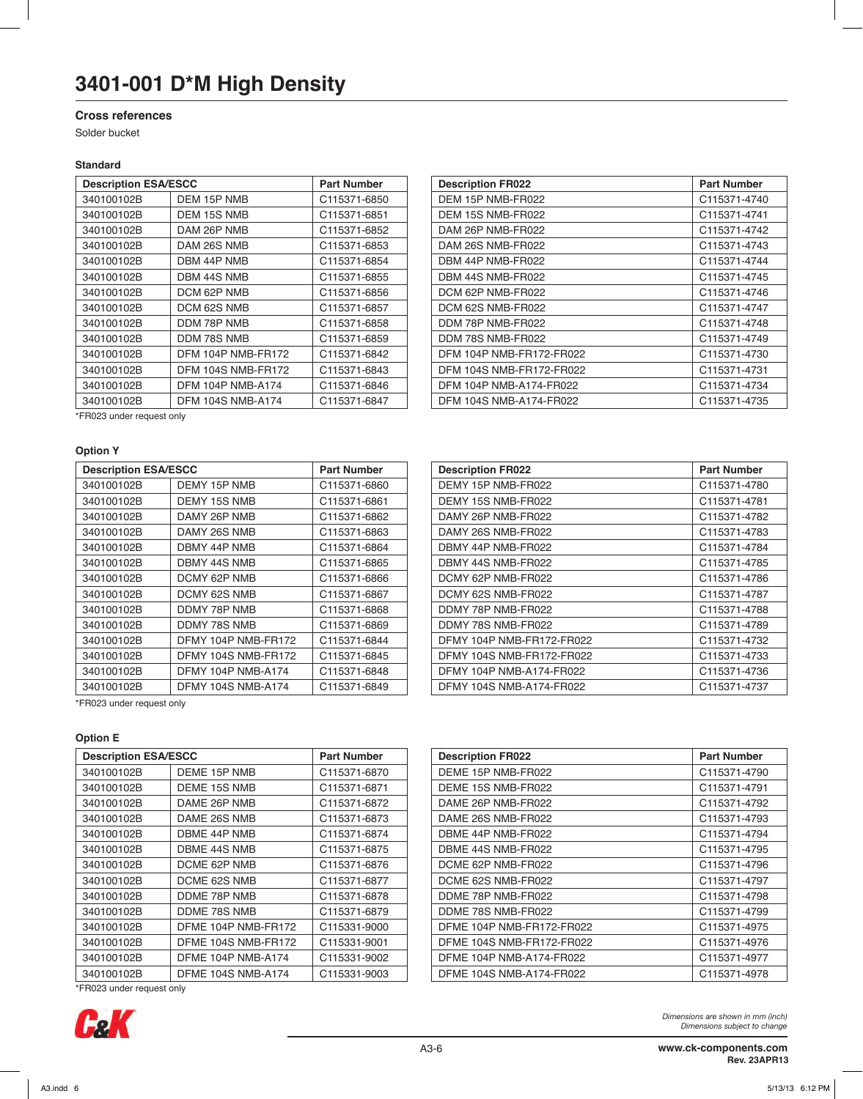#### **Cross references**

Solder bucket

#### **Standard**

| <b>Description ESA/ESCC</b> | <b>Part Number</b>       |              |
|-----------------------------|--------------------------|--------------|
| 340100102B                  | DEM 15P NMB              | C115371-6850 |
| 340100102B                  | DEM 15S NMB              | C115371-6851 |
| 340100102B                  | DAM 26P NMB              | C115371-6852 |
| 340100102B                  | DAM 26S NMB              | C115371-6853 |
| 340100102B                  | DBM 44P NMB              | C115371-6854 |
| 340100102B                  | DBM 44S NMB              | C115371-6855 |
| 340100102B                  | DCM 62P NMB              | C115371-6856 |
| 340100102B                  | DCM 62S NMB              | C115371-6857 |
| 340100102B                  | DDM 78P NMB              | C115371-6858 |
| 340100102B                  | DDM 78S NMB              | C115371-6859 |
| 340100102B                  | DFM 104P NMB-FR172       | C115371-6842 |
| 340100102B                  | DFM 104S NMB-FR172       | C115371-6843 |
| 340100102B                  | <b>DFM 104P NMB-A174</b> | C115371-6846 |
| 340100102B                  | <b>DFM 104S NMB-A174</b> | C115371-6847 |

| <b>Description ESA/ESCC</b> |                          | <b>Part Number</b> | <b>Description FR022</b> | <b>Part Number</b> |
|-----------------------------|--------------------------|--------------------|--------------------------|--------------------|
| 340100102B                  | DEM 15P NMB              | C115371-6850       | DEM 15P NMB-FR022        | C115371-4740       |
| 340100102B                  | DEM 15S NMB              | C115371-6851       | DEM 15S NMB-FR022        | C115371-4741       |
| 340100102B                  | DAM 26P NMB              | C115371-6852       | DAM 26P NMB-FR022        | C115371-4742       |
| 340100102B                  | DAM 26S NMB              | C115371-6853       | DAM 26S NMB-FR022        | C115371-4743       |
| 340100102B                  | DBM 44P NMB              | C115371-6854       | DBM 44P NMB-FR022        | C115371-4744       |
| 340100102B                  | DBM 44S NMB              | C115371-6855       | DBM 44S NMB-FR022        | C115371-4745       |
| 340100102B                  | DCM 62P NMB              | C115371-6856       | DCM 62P NMB-FR022        | C115371-4746       |
| 340100102B                  | DCM 62S NMB              | C115371-6857       | DCM 62S NMB-FR022        | C115371-4747       |
| 340100102B                  | DDM 78P NMB              | C115371-6858       | DDM 78P NMB-FR022        | C115371-4748       |
| 340100102B                  | DDM 78S NMB              | C115371-6859       | DDM 78S NMB-FR022        | C115371-4749       |
| 340100102B                  | DFM 104P NMB-FR172       | C115371-6842       | DFM 104P NMB-FR172-FR022 | C115371-4730       |
| 340100102B                  | DFM 104S NMB-FR172       | C115371-6843       | DFM 104S NMB-FR172-FR022 | C115371-4731       |
| 340100102B                  | <b>DFM 104P NMB-A174</b> | C115371-6846       | DFM 104P NMB-A174-FR022  | C115371-4734       |
| 340100102B                  | <b>DFM 104S NMB-A174</b> | C115371-6847       | DFM 104S NMB-A174-FR022  | C115371-4735       |
|                             |                          |                    |                          |                    |

\*FR023 under request only

#### **Option Y**

| <b>Description ESA/ESCC</b> |                     | <b>Part Number</b> |  | <b>Description FR022</b>  | <b>Part Number</b> |  |
|-----------------------------|---------------------|--------------------|--|---------------------------|--------------------|--|
| 340100102B                  | DEMY 15P NMB        | C115371-6860       |  | DEMY 15P NMB-FR022        | C115371-4780       |  |
| 340100102B                  | DEMY 15S NMB        | C115371-6861       |  | DEMY 15S NMB-FR022        | C115371-4781       |  |
| 340100102B                  | DAMY 26P NMB        | C115371-6862       |  | DAMY 26P NMB-FR022        | C115371-4782       |  |
| 340100102B                  | DAMY 26S NMB        | C115371-6863       |  | DAMY 26S NMB-FR022        | C115371-4783       |  |
| 340100102B                  | DBMY 44P NMB        | C115371-6864       |  | DBMY 44P NMB-FR022        | C115371-4784       |  |
| 340100102B                  | DBMY 44S NMB        | C115371-6865       |  | DBMY 44S NMB-FR022        | C115371-4785       |  |
| 340100102B                  | DCMY 62P NMB        | C115371-6866       |  | DCMY 62P NMB-FR022        | C115371-4786       |  |
| 340100102B                  | DCMY 62S NMB        | C115371-6867       |  | DCMY 62S NMB-FR022        | C115371-4787       |  |
| 340100102B                  | DDMY 78P NMB        | C115371-6868       |  | DDMY 78P NMB-FR022        | C115371-4788       |  |
| 340100102B                  | DDMY 78S NMB        | C115371-6869       |  | DDMY 78S NMB-FR022        | C115371-4789       |  |
| 340100102B                  | DFMY 104P NMB-FR172 | C115371-6844       |  | DFMY 104P NMB-FR172-FR022 | C115371-4732       |  |
| 340100102B                  | DFMY 104S NMB-FR172 | C115371-6845       |  | DFMY 104S NMB-FR172-FR022 | C115371-4733       |  |
| 340100102B                  | DFMY 104P NMB-A174  | C115371-6848       |  | DFMY 104P NMB-A174-FR022  | C115371-4736       |  |
| 340100102B                  | DFMY 104S NMB-A174  | C115371-6849       |  | DFMY 104S NMB-A174-FR022  | C115371-4737       |  |
|                             |                     |                    |  |                           |                    |  |

| <b>Description ESA/ESCC</b> |                           | <b>Part Number</b> | <b>Description FR022</b>  | <b>Part Number</b> |
|-----------------------------|---------------------------|--------------------|---------------------------|--------------------|
| 340100102B                  | DEMY 15P NMB              | C115371-6860       | DEMY 15P NMB-FR022        | C115371-4780       |
| 340100102B                  | DEMY 15S NMB              | C115371-6861       | DEMY 15S NMB-FR022        | C115371-4781       |
| 340100102B                  | DAMY 26P NMB              | C115371-6862       | DAMY 26P NMB-FR022        | C115371-4782       |
| 340100102B                  | DAMY 26S NMB              | C115371-6863       | DAMY 26S NMB-FR022        | C115371-4783       |
| 340100102B                  | DBMY 44P NMB              | C115371-6864       | DBMY 44P NMB-FR022        | C115371-4784       |
| 340100102B                  | DBMY 44S NMB              | C115371-6865       | DBMY 44S NMB-FR022        | C115371-4785       |
| 340100102B                  | DCMY 62P NMB              | C115371-6866       | DCMY 62P NMB-FR022        | C115371-4786       |
| 340100102B                  | DCMY 62S NMB              | C115371-6867       | DCMY 62S NMB-FR022        | C115371-4787       |
| 340100102B                  | DDMY 78P NMB              | C115371-6868       | DDMY 78P NMB-FR022        | C115371-4788       |
| 340100102B                  | DDMY 78S NMB              | C115371-6869       | DDMY 78S NMB-FR022        | C115371-4789       |
| 340100102B                  | DFMY 104P NMB-FR172       | C115371-6844       | DFMY 104P NMB-FR172-FR022 | C115371-4732       |
| 340100102B                  | DFMY 104S NMB-FR172       | C115371-6845       | DFMY 104S NMB-FR172-FR022 | C115371-4733       |
| 340100102B                  | DFMY 104P NMB-A174        | C115371-6848       | DFMY 104P NMB-A174-FR022  | C115371-4736       |
| 340100102B                  | <b>DFMY 104S NMB-A174</b> | C115371-6849       | DFMY 104S NMB-A174-FR022  | C115371-4737       |

**Description FR022 Part Number** DEME 15P NMB-FR022 C115371-4790 DEME 15S NMB-FR022 C115371-4791 DAME 26P NMB-FR022 C115371-4792 DAME 26S NMB-FR022 C115371-4793 DBME 44P NMB-FR022 C115371-4794 DBME 44S NMB-FR022 C115371-4795 DCME 62P NMB-FR022 C115371-4796 00101028 DCME 62S NMB-FR022 C115371-4797 DDME 78P NMB-FR022 C115371-4798 DDME 78S NMB-FR022 C115371-4799 DFME 104P NMB-FR172-FR022 C115371-4975 DFME 104S NMB-FR172-FR022 C115371-4976 340100102B DFME 104P NMB-A174 C115331-9002 DFME 104P NMB-A174-FR022 C115371-4977 DFME 104S NMB-A174-FR022 C115371-4978

\*FR023 under request only

#### **Option E**

| <b>Description ESA/ESCC</b> | <b>Part Number</b>        |                          |
|-----------------------------|---------------------------|--------------------------|
| 340100102B                  | DEME 15P NMB              | C115371-6870             |
| 340100102B                  | DEME 15S NMB              | C115371-6871             |
| 340100102B                  | DAME 26P NMB              | C115371-6872             |
| 340100102B                  | DAME 26S NMB              | C115371-6873             |
| 340100102B                  | DBME 44P NMB              | C115371-6874             |
| 340100102B                  | DBME 44S NMB              | C115371-6875             |
| 340100102B                  | DCME 62P NMB              | C <sub>115371-6876</sub> |
| 340100102B                  | DCME 62S NMB              | C <sub>115371-6877</sub> |
| 340100102B                  | DDME 78P NMB              | C115371-6878             |
| 340100102B                  | DDME 78S NMB              | C <sub>115371-6879</sub> |
| 340100102B                  | DFME 104P NMB-FR172       | C115331-9000             |
| 340100102B                  | DFME 104S NMB-FR172       | C115331-9001             |
| 340100102B                  | <b>DFME 104P NMB-A174</b> | C115331-9002             |
| 340100102B                  | <b>DFME 104S NMB-A174</b> | C <sub>115331-9003</sub> |

\*FR023 under request only

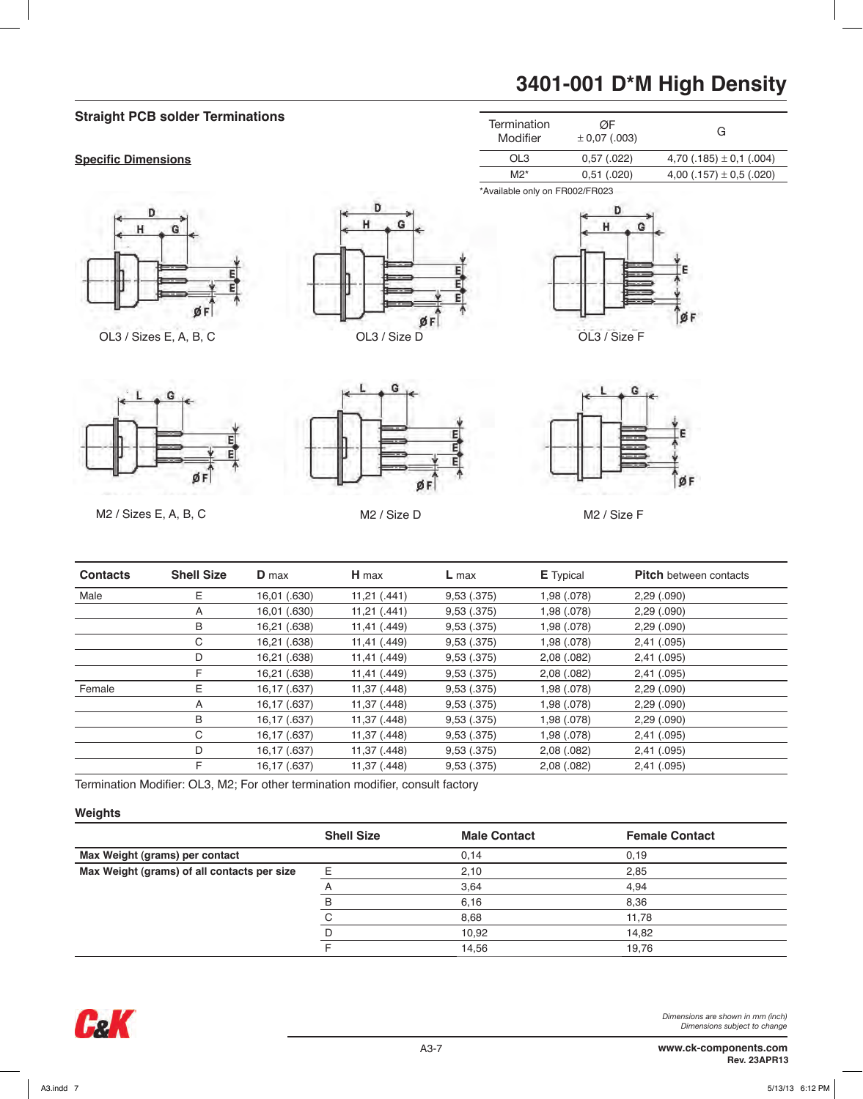## **Straight PCB solder Terminations**

#### **Specific Dimensions**







\*Available only on FR002/FR023





Ğ

M2 / Sizes E, A, B, C M2 / Size D M2 / Size F



| <b>Contacts</b> | <b>Shell Size</b> | <b>D</b> max | $H$ max      | $L$ max    | <b>E</b> Typical | <b>Pitch</b> between contacts |
|-----------------|-------------------|--------------|--------------|------------|------------------|-------------------------------|
| Male            | E                 | 16,01 (.630) | 11,21(.441)  | 9,53(.375) | 1,98 (.078)      | 2,29(.090)                    |
|                 | A                 | 16,01 (.630) | 11,21(.441)  | 9,53(.375) | 1,98 (.078)      | 2,29(.090)                    |
|                 | B                 | 16,21 (.638) | 11,41 (.449) | 9,53(.375) | 1,98 (.078)      | 2,29(.090)                    |
|                 | С                 | 16,21 (.638) | 11,41 (.449) | 9,53(.375) | 1,98 (.078)      | 2,41 (.095)                   |
|                 | D                 | 16,21 (.638) | 11,41 (.449) | 9,53(.375) | 2,08(.082)       | 2,41 (.095)                   |
|                 |                   | 16,21 (.638) | 11,41 (.449) | 9,53(.375) | 2,08(.082)       | 2,41 (.095)                   |
| Female          | E.                | 16,17 (.637) | 11,37 (.448) | 9,53(.375) | 1,98 (.078)      | 2,29(.090)                    |
|                 | A                 | 16,17 (.637) | 11,37 (.448) | 9,53(.375) | 1,98 (.078)      | 2,29(.090)                    |
|                 | B                 | 16,17 (.637) | 11,37 (.448) | 9,53(.375) | 1,98 (.078)      | 2,29(.090)                    |
|                 | С                 | 16,17 (.637) | 11,37 (.448) | 9,53(.375) | 1,98 (.078)      | 2,41 (.095)                   |
|                 | D                 | 16,17 (.637) | 11,37 (.448) | 9,53(.375) | 2,08(.082)       | 2,41 (.095)                   |
|                 |                   | 16,17 (.637) | 11,37 (.448) | 9,53(.375) | 2,08(.082)       | 2,41 (.095)                   |

Termination Modifier: OL3, M2; For other termination modifier, consult factory

#### **Weights**

|                                             | <b>Shell Size</b> | <b>Male Contact</b> | <b>Female Contact</b> |
|---------------------------------------------|-------------------|---------------------|-----------------------|
| Max Weight (grams) per contact              |                   | 0.14                | 0.19                  |
| Max Weight (grams) of all contacts per size | E                 | 2,10                | 2,85                  |
|                                             |                   | 3,64                | 4.94                  |
|                                             | B                 | 6,16                | 8,36                  |
|                                             |                   | 8,68                | 11,78                 |
|                                             |                   | 10,92               | 14,82                 |
|                                             |                   | 14,56               | 19,76                 |



## **3401-001 D\*M High Density**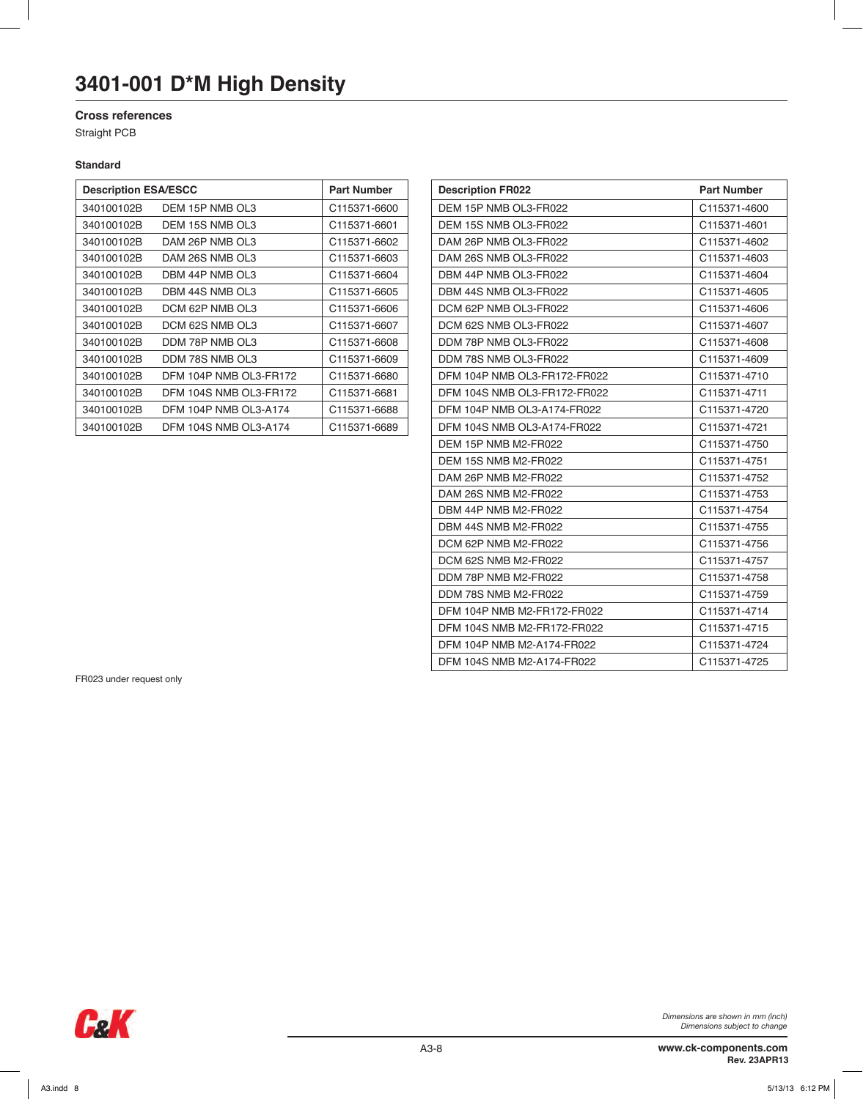### **Cross references**

Straight PCB

#### **Standard**

| <b>Description ESA/ESCC</b> | <b>Part Number</b>           |              |
|-----------------------------|------------------------------|--------------|
| 340100102B                  | DEM 15P NMB OL3              | C115371-6600 |
| 340100102B                  | DEM 15S NMB OL3              | C115371-6601 |
| 340100102B                  | DAM 26P NMB OL3              | C115371-6602 |
| 340100102B                  | DAM 26S NMB OL3              | C115371-6603 |
| 340100102B                  | DBM 44P NMB OL3              | C115371-6604 |
| 340100102B                  | DBM 44S NMB OL3              | C115371-6605 |
| 340100102B                  | DCM 62P NMB OL3              | C115371-6606 |
| 340100102B                  | DCM 62S NMB OL3              | C115371-6607 |
| 340100102B                  | DDM 78P NMB OL3              | C115371-6608 |
| 340100102B                  | DDM 78S NMB OL3              | C115371-6609 |
| 340100102B                  | DFM 104P NMB OL3-FR172       | C115371-6680 |
| 340100102B                  | DFM 104S NMB OL3-FR172       | C115371-6681 |
| 340100102B                  | DFM 104P NMB OL3-A174        | C115371-6688 |
| 340100102B                  | <b>DFM 104S NMB OL3-A174</b> | C115371-6689 |

| <b>Description ESA/ESCC</b> |                              | <b>Part Number</b> | <b>Description FR022</b>     | <b>Part Number</b> |
|-----------------------------|------------------------------|--------------------|------------------------------|--------------------|
| 340100102B                  | DEM 15P NMB OL3              | C115371-6600       | DEM 15P NMB OL3-FR022        | C115371-4600       |
| 340100102B                  | DEM 15S NMB OL3              | C115371-6601       | DEM 15S NMB OL3-FR022        | C115371-4601       |
| 340100102B                  | DAM 26P NMB OL3              | C115371-6602       | DAM 26P NMB OL3-FR022        | C115371-4602       |
| 340100102B                  | DAM 26S NMB OL3              | C115371-6603       | DAM 26S NMB OL3-FR022        | C115371-4603       |
| 340100102B                  | DBM 44P NMB OL3              | C115371-6604       | DBM 44P NMB OL3-FR022        | C115371-4604       |
| 340100102B                  | DBM 44S NMB OL3              | C115371-6605       | DBM 44S NMB OL3-FR022        | C115371-4605       |
| 340100102B                  | DCM 62P NMB OL3              | C115371-6606       | DCM 62P NMB OL3-FR022        | C115371-4606       |
| 340100102B                  | DCM 62S NMB OL3              | C115371-6607       | DCM 62S NMB OL3-FR022        | C115371-4607       |
| 340100102B                  | DDM 78P NMB OL3              | C115371-6608       | DDM 78P NMB OL3-FR022        | C115371-4608       |
| 340100102B                  | DDM 78S NMB OL3              | C115371-6609       | DDM 78S NMB OL3-FR022        | C115371-4609       |
| 340100102B                  | DFM 104P NMB OL3-FR172       | C115371-6680       | DFM 104P NMB OL3-FR172-FR022 | C115371-4710       |
| 340100102B                  | DFM 104S NMB OL3-FR172       | C115371-6681       | DFM 104S NMB OL3-FR172-FR022 | C115371-4711       |
| 340100102B                  | DFM 104P NMB OL3-A174        | C115371-6688       | DFM 104P NMB OL3-A174-FR022  | C115371-4720       |
| 340100102B                  | <b>DFM 104S NMB OL3-A174</b> | C115371-6689       | DFM 104S NMB OL3-A174-FR022  | C115371-4721       |
|                             |                              |                    | DEM 15P NMB M2-FR022         | C115371-4750       |
|                             |                              |                    | DEM 15S NMB M2-FR022         | C115371-4751       |
|                             |                              |                    | DAM 26P NMB M2-FR022         | C115371-4752       |
|                             |                              |                    | DAM 26S NMB M2-FR022         | C115371-4753       |
|                             |                              |                    | DBM 44P NMB M2-FR022         | C115371-4754       |
|                             |                              |                    | DBM 44S NMB M2-FR022         | C115371-4755       |
|                             |                              |                    | DCM 62P NMB M2-FR022         | C115371-4756       |
|                             |                              |                    | DCM 62S NMB M2-FR022         | C115371-4757       |
|                             |                              |                    | DDM 78P NMB M2-FR022         | C115371-4758       |
|                             |                              |                    | DDM 78S NMB M2-FR022         | C115371-4759       |
|                             |                              |                    | DFM 104P NMB M2-FR172-FR022  | C115371-4714       |
|                             |                              |                    | DFM 104S NMB M2-FR172-FR022  | C115371-4715       |
|                             |                              |                    | DFM 104P NMB M2-A174-FR022   | C115371-4724       |
|                             |                              |                    | DFM 104S NMB M2-A174-FR022   | C115371-4725       |

FR023 under request only

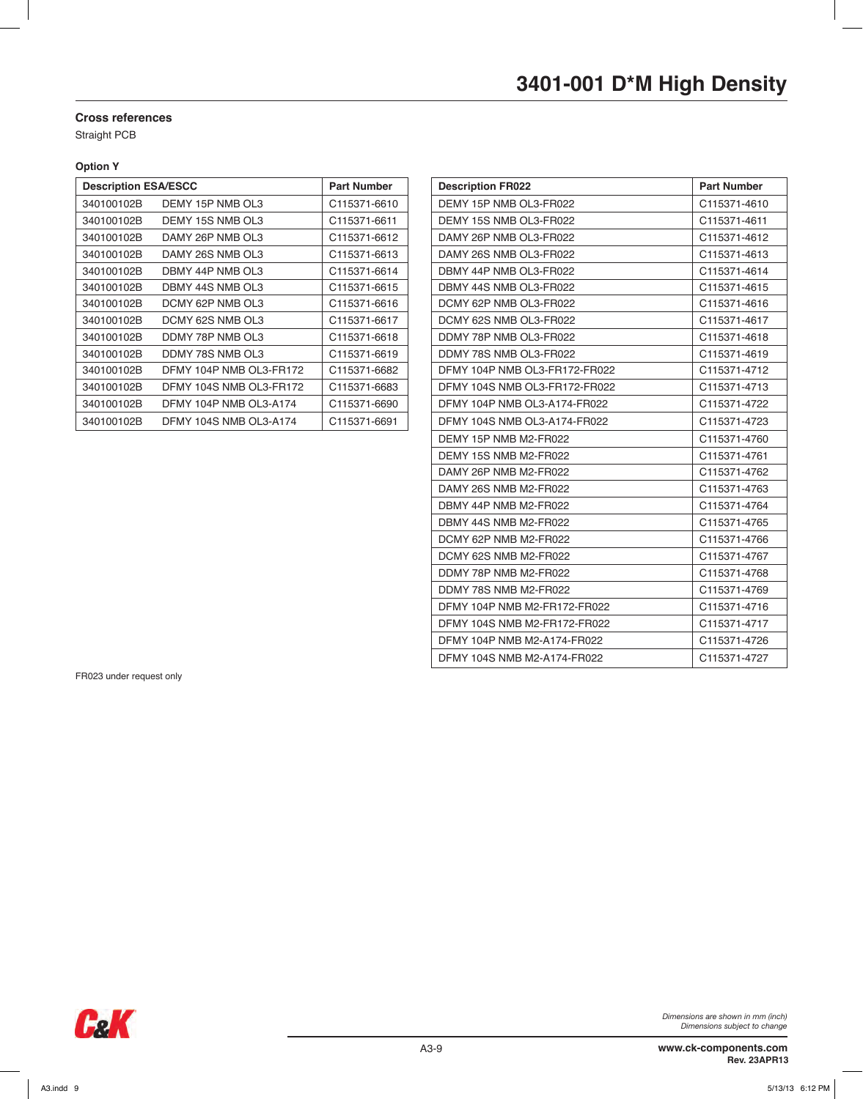#### **Cross references**

Straight PCB

#### **Option Y**

| <b>Description ESA/ESCC</b> |                         | <b>Part Number</b>       |
|-----------------------------|-------------------------|--------------------------|
| 340100102B                  | DEMY 15P NMB OL3        | C115371-6610             |
| 340100102B                  | DEMY 15S NMB OL3        | C115371-6611             |
| 340100102B                  | DAMY 26P NMB OL3        | C115371-6612             |
| 340100102B                  | DAMY 26S NMB OL3        | C <sub>115371-6613</sub> |
| 340100102B                  | DBMY 44P NMB OL3        | C115371-6614             |
| 340100102B                  | DBMY 44S NMB OL3        | C115371-6615             |
| 340100102B                  | DCMY 62P NMB OL3        | C115371-6616             |
| 340100102B                  | DCMY 62S NMB OL3        | C115371-6617             |
| 340100102B                  | DDMY 78P NMB OL3        | C115371-6618             |
| 340100102B                  | DDMY 78S NMB OL3        | C <sub>115371-6619</sub> |
| 340100102B                  | DFMY 104P NMB OL3-FR172 | C115371-6682             |
| 340100102B                  | DFMY 104S NMB OL3-FR172 | C115371-6683             |
| 340100102B                  | DFMY 104P NMB OL3-A174  | C115371-6690             |
| 340100102B                  | DFMY 104S NMB OL3-A174  | C115371-6691             |

| <b>Description ESA/ESCC</b> |                         | <b>Part Number</b> | <b>Description FR022</b>      | <b>Part Number</b> |
|-----------------------------|-------------------------|--------------------|-------------------------------|--------------------|
| 340100102B                  | DEMY 15P NMB OL3        | C115371-6610       | DEMY 15P NMB OL3-FR022        | C115371-4610       |
| 340100102B                  | DEMY 15S NMB OL3        | C115371-6611       | DEMY 15S NMB OL3-FR022        | C115371-4611       |
| 340100102B                  | DAMY 26P NMB OL3        | C115371-6612       | DAMY 26P NMB OL3-FR022        | C115371-4612       |
| 340100102B                  | DAMY 26S NMB OL3        | C115371-6613       | DAMY 26S NMB OL3-FR022        | C115371-4613       |
| 340100102B                  | DBMY 44P NMB OL3        | C115371-6614       | DBMY 44P NMB OL3-FR022        | C115371-4614       |
| 340100102B                  | DBMY 44S NMB OL3        | C115371-6615       | DBMY 44S NMB OL3-FR022        | C115371-4615       |
| 340100102B                  | DCMY 62P NMB OL3        | C115371-6616       | DCMY 62P NMB OL3-FR022        | C115371-4616       |
| 340100102B                  | DCMY 62S NMB OL3        | C115371-6617       | DCMY 62S NMB OL3-FR022        | C115371-4617       |
| 340100102B                  | DDMY 78P NMB OL3        | C115371-6618       | DDMY 78P NMB OL3-FR022        | C115371-4618       |
| 340100102B                  | DDMY 78S NMB OL3        | C115371-6619       | DDMY 78S NMB OL3-FR022        | C115371-4619       |
| 340100102B                  | DFMY 104P NMB OL3-FR172 | C115371-6682       | DFMY 104P NMB OL3-FR172-FR022 | C115371-4712       |
| 340100102B                  | DFMY 104S NMB OL3-FR172 | C115371-6683       | DFMY 104S NMB OL3-FR172-FR022 | C115371-4713       |
| 340100102B                  | DFMY 104P NMB OL3-A174  | C115371-6690       | DFMY 104P NMB OL3-A174-FR022  | C115371-4722       |
| 340100102B                  | DFMY 104S NMB OL3-A174  | C115371-6691       | DFMY 104S NMB OL3-A174-FR022  | C115371-4723       |
|                             |                         |                    | DEMY 15P NMB M2-FR022         | C115371-4760       |
|                             |                         |                    | DEMY 15S NMB M2-FR022         | C115371-4761       |
|                             |                         |                    | DAMY 26P NMB M2-FR022         | C115371-4762       |
|                             |                         |                    | DAMY 26S NMB M2-FR022         | C115371-4763       |
|                             |                         |                    | DBMY 44P NMB M2-FR022         | C115371-4764       |
|                             |                         |                    | DBMY 44S NMB M2-FR022         | C115371-4765       |
|                             |                         |                    | DCMY 62P NMB M2-FR022         | C115371-4766       |
|                             |                         |                    | DCMY 62S NMB M2-FR022         | C115371-4767       |
|                             |                         |                    | DDMY 78P NMB M2-FR022         | C115371-4768       |
|                             |                         |                    | DDMY 78S NMB M2-FR022         | C115371-4769       |
|                             |                         |                    | DFMY 104P NMB M2-FR172-FR022  | C115371-4716       |
|                             |                         |                    | DFMY 104S NMB M2-FR172-FR022  | C115371-4717       |
|                             |                         |                    | DFMY 104P NMB M2-A174-FR022   | C115371-4726       |
|                             |                         |                    | DFMY 104S NMB M2-A174-FR022   | C115371-4727       |

FR023 under request only

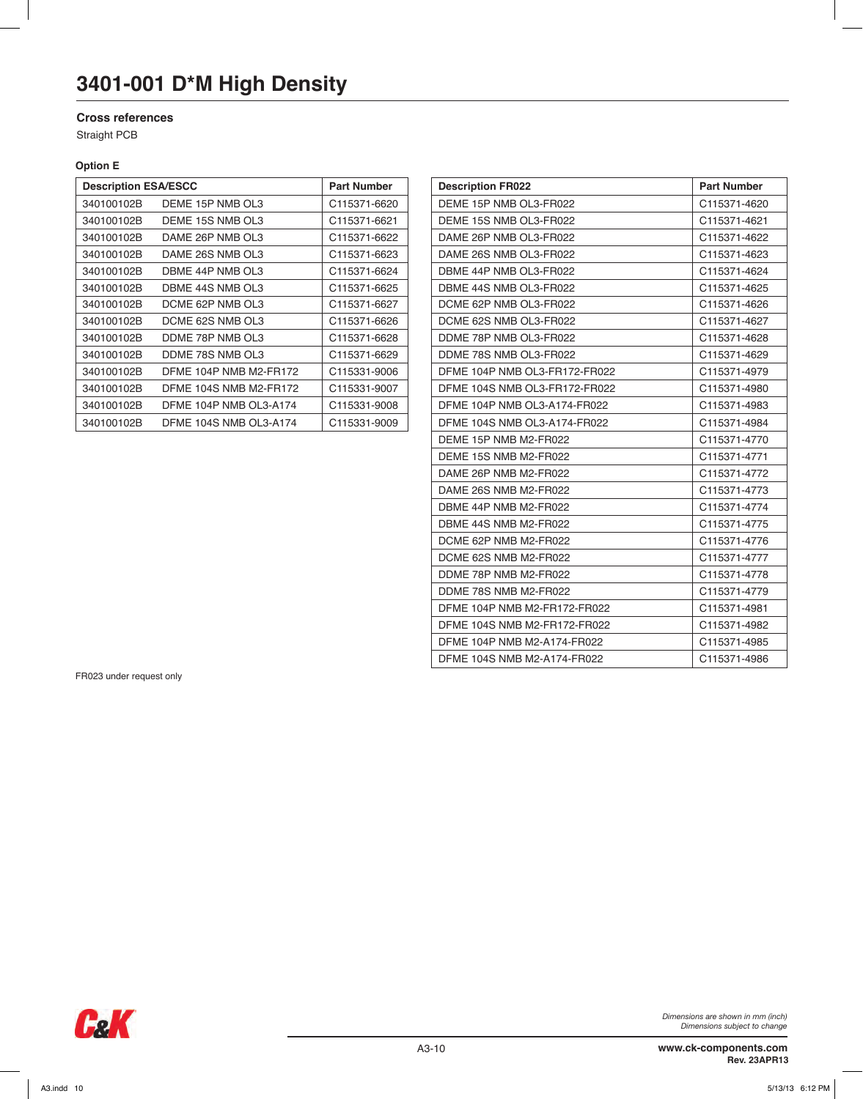#### **Cross references**

Straight PCB

#### **Option E**

| <b>Description ESA/ESCC</b> |                        | <b>Part Number</b>       |
|-----------------------------|------------------------|--------------------------|
| 340100102B                  | DEME 15P NMB OL3       | C115371-6620             |
| 340100102B                  | DEME 15S NMB OL3       | C115371-6621             |
| 340100102B                  | DAME 26P NMB OL3       | C115371-6622             |
| 340100102B                  | DAME 26S NMB OL3       | C <sub>115371-6623</sub> |
| 340100102B                  | DBME 44P NMB OL3       | C115371-6624             |
| 340100102B                  | DBME 44S NMB OL3       | C115371-6625             |
| 340100102B                  | DCME 62P NMB OL3       | C115371-6627             |
| 340100102B                  | DCME 62S NMB OL3       | C115371-6626             |
| 340100102B                  | DDME 78P NMB OL3       | C115371-6628             |
| 340100102B                  | DDME 78S NMB OL3       | C115371-6629             |
| 340100102B                  | DFME 104P NMB M2-FR172 | C115331-9006             |
| 340100102B                  | DFME 104S NMB M2-FR172 | C115331-9007             |
| 340100102B                  | DFME 104P NMB OL3-A174 | C115331-9008             |
| 340100102B                  | DFME 104S NMB OL3-A174 | C115331-9009             |

| <b>Description ESA/ESCC</b> |                        | <b>Part Number</b> | <b>Description FR022</b>      | <b>Part Number</b> |
|-----------------------------|------------------------|--------------------|-------------------------------|--------------------|
| 340100102B                  | DEME 15P NMB OL3       | C115371-6620       | DEME 15P NMB OL3-FR022        | C115371-4620       |
| 340100102B                  | DEME 15S NMB OL3       | C115371-6621       | DEME 15S NMB OL3-FR022        | C115371-4621       |
| 340100102B                  | DAME 26P NMB OL3       | C115371-6622       | DAME 26P NMB OL3-FR022        | C115371-4622       |
| 340100102B                  | DAME 26S NMB OL3       | C115371-6623       | DAME 26S NMB OL3-FR022        | C115371-4623       |
| 340100102B                  | DBME 44P NMB OL3       | C115371-6624       | DBME 44P NMB OL3-FR022        | C115371-4624       |
| 340100102B                  | DBME 44S NMB OL3       | C115371-6625       | DBME 44S NMB OL3-FR022        | C115371-4625       |
| 340100102B                  | DCME 62P NMB OL3       | C115371-6627       | DCME 62P NMB OL3-FR022        | C115371-4626       |
| 340100102B                  | DCME 62S NMB OL3       | C115371-6626       | DCME 62S NMB OL3-FR022        | C115371-4627       |
| 340100102B                  | DDME 78P NMB OL3       | C115371-6628       | DDME 78P NMB OL3-FR022        | C115371-4628       |
| 340100102B                  | DDME 78S NMB OL3       | C115371-6629       | DDME 78S NMB OL3-FR022        | C115371-4629       |
| 340100102B                  | DFME 104P NMB M2-FR172 | C115331-9006       | DFME 104P NMB OL3-FR172-FR022 | C115371-4979       |
| 340100102B                  | DFME 104S NMB M2-FR172 | C115331-9007       | DFME 104S NMB OL3-FR172-FR022 | C115371-4980       |
| 340100102B                  | DFME 104P NMB OL3-A174 | C115331-9008       | DFME 104P NMB OL3-A174-FR022  | C115371-4983       |
| 340100102B                  | DFME 104S NMB OL3-A174 | C115331-9009       | DFME 104S NMB OL3-A174-FR022  | C115371-4984       |
|                             |                        |                    | DEME 15P NMB M2-FR022         | C115371-4770       |
|                             |                        |                    | DEME 15S NMB M2-FR022         | C115371-4771       |
|                             |                        |                    | DAME 26P NMB M2-FR022         | C115371-4772       |
|                             |                        |                    | DAME 26S NMB M2-FR022         | C115371-4773       |
|                             |                        |                    | DBME 44P NMB M2-FR022         | C115371-4774       |
|                             |                        |                    | DBME 44S NMB M2-FR022         | C115371-4775       |
|                             |                        |                    | DCME 62P NMB M2-FR022         | C115371-4776       |
|                             |                        |                    | DCME 62S NMB M2-FR022         | C115371-4777       |
|                             |                        |                    | DDME 78P NMB M2-FR022         | C115371-4778       |
|                             |                        |                    | DDME 78S NMB M2-FR022         | C115371-4779       |
|                             |                        |                    | DFME 104P NMB M2-FR172-FR022  | C115371-4981       |
|                             |                        |                    | DFME 104S NMB M2-FR172-FR022  | C115371-4982       |
|                             |                        |                    | DFME 104P NMB M2-A174-FR022   | C115371-4985       |
|                             |                        |                    | DFME 104S NMB M2-A174-FR022   | C115371-4986       |
|                             |                        |                    |                               |                    |

FR023 under request only

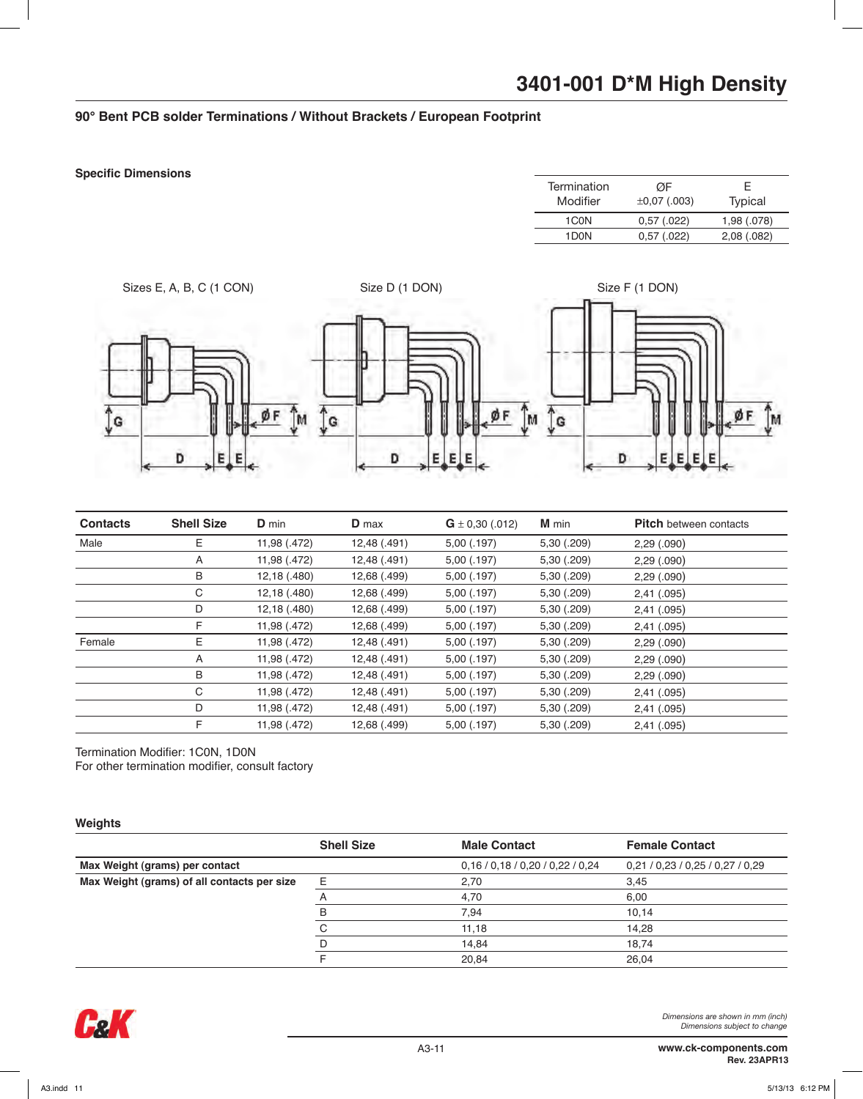### **90° Bent PCB solder Terminations / Without Brackets / European Footprint**

#### **Specific Dimensions**

| Termination<br>Modifier | ØF<br>$\pm 0.07$ (.003) | F.<br>Typical |
|-------------------------|-------------------------|---------------|
| 1C <sub>0</sub> N       | 0,57(.022)              | 1,98 (.078)   |
| 1D <sub>0</sub> N       | 0,57(.022)              | 2,08(.082)    |
|                         |                         |               |



| <b>Contacts</b> | <b>Shell Size</b> | <b>D</b> min | <b>D</b> max | $G \pm 0.30$ (.012) | M min       | <b>Pitch</b> between contacts |
|-----------------|-------------------|--------------|--------------|---------------------|-------------|-------------------------------|
| Male            | E                 | 11,98 (.472) | 12,48 (.491) | 5,00(.197)          | 5,30 (.209) | 2,29(.090)                    |
|                 | A                 | 11,98 (.472) | 12,48 (.491) | 5,00(.197)          | 5,30 (.209) | 2,29(.090)                    |
|                 | B                 | 12,18 (.480) | 12,68 (.499) | 5,00(.197)          | 5,30 (.209) | 2,29(.090)                    |
|                 | С                 | 12,18 (.480) | 12,68 (.499) | 5,00(.197)          | 5,30 (.209) | 2,41(.095)                    |
|                 | D                 | 12,18 (.480) | 12,68 (.499) | 5,00(.197)          | 5,30 (.209) | 2,41(.095)                    |
|                 | F                 | 11,98 (.472) | 12,68 (.499) | 5,00(.197)          | 5,30 (.209) | 2,41(.095)                    |
| Female          | E.                | 11,98 (.472) | 12,48 (.491) | 5,00(.197)          | 5,30 (.209) | 2,29(.090)                    |
|                 | A                 | 11,98 (.472) | 12,48 (.491) | 5,00(.197)          | 5,30 (.209) | 2,29(.090)                    |
|                 | B                 | 11,98 (.472) | 12,48 (.491) | 5,00(.197)          | 5,30 (.209) | 2,29(.090)                    |
|                 | С                 | 11,98 (.472) | 12,48 (.491) | 5,00(.197)          | 5,30 (.209) | 2,41(.095)                    |
|                 | D                 | 11,98 (.472) | 12,48 (.491) | 5,00(.197)          | 5,30 (.209) | 2,41(.095)                    |
|                 | F                 | 11,98 (.472) | 12,68 (.499) | 5,00 (.197)         | 5,30 (.209) | 2,41(.095)                    |

Termination Modifier: 1C0N, 1D0N For other termination modifier, consult factory

#### **Weights**

|                                             | <b>Shell Size</b> | <b>Male Contact</b>              | <b>Female Contact</b>    |
|---------------------------------------------|-------------------|----------------------------------|--------------------------|
| Max Weight (grams) per contact              |                   | 0,16 / 0,18 / 0,20 / 0,22 / 0,24 | 0,21/0,23/0,25/0,27/0,29 |
| Max Weight (grams) of all contacts per size | E                 | 2,70                             | 3,45                     |
|                                             |                   | 4.70                             | 6,00                     |
|                                             |                   | 7,94                             | 10,14                    |
|                                             |                   | 11.18                            | 14,28                    |
|                                             |                   | 14,84                            | 18,74                    |
|                                             |                   | 20,84                            | 26.04                    |

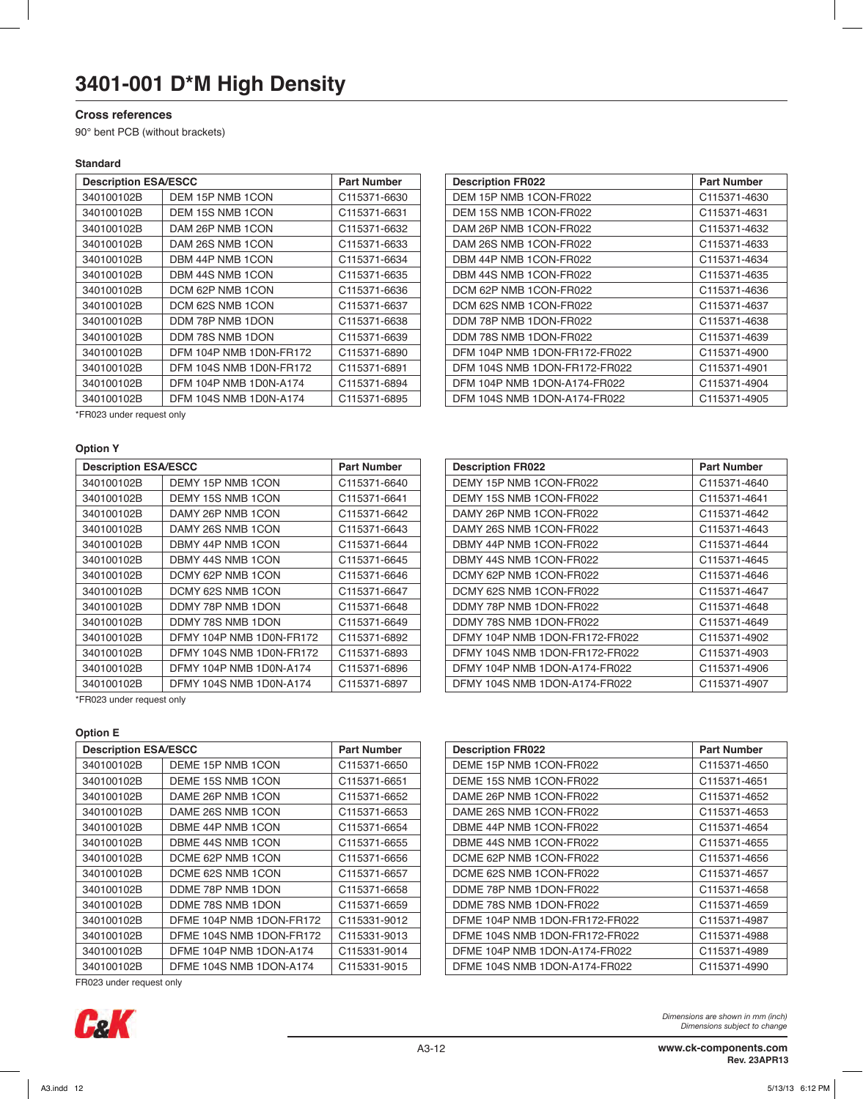#### **Cross references**

90° bent PCB (without brackets)

#### **Standard**

| <b>Description ESA/ESCC</b> |                         | <b>Part Number</b> | <b>Description FR022</b>      | <b>Part Number</b> |
|-----------------------------|-------------------------|--------------------|-------------------------------|--------------------|
| 340100102B                  | DEM 15P NMB 1CON        | C115371-6630       | DEM 15P NMB 1CON-FR022        | C115371-4630       |
| 340100102B                  | DEM 15S NMB 1CON        | C115371-6631       | DEM 15S NMB 1CON-FR022        | C115371-4631       |
| 340100102B                  | DAM 26P NMB 1CON        | C115371-6632       | DAM 26P NMB 1CON-FR022        | C115371-4632       |
| 340100102B                  | DAM 26S NMB 1CON        | C115371-6633       | DAM 26S NMB 1CON-FR022        | C115371-4633       |
| 340100102B                  | DBM 44P NMB 1CON        | C115371-6634       | DBM 44P NMB 1CON-FR022        | C115371-4634       |
| 340100102B                  | DBM 44S NMB 1CON        | C115371-6635       | DBM 44S NMB 1CON-FR022        | C115371-4635       |
| 340100102B                  | DCM 62P NMB 1CON        | C115371-6636       | DCM 62P NMB 1CON-FR022        | C115371-4636       |
| 340100102B                  | DCM 62S NMB 1CON        | C115371-6637       | DCM 62S NMB 1CON-FR022        | C115371-4637       |
| 340100102B                  | DDM 78P NMB 1DON        | C115371-6638       | DDM 78P NMB 1DON-FR022        | C115371-4638       |
| 340100102B                  | DDM 78S NMB 1DON        | C115371-6639       | DDM 78S NMB 1DON-FR022        | C115371-4639       |
| 340100102B                  | DFM 104P NMB 1D0N-FR172 | C115371-6890       | DFM 104P NMB 1DON-FR172-FR022 | C115371-4900       |
| 340100102B                  | DFM 104S NMB 1D0N-FR172 | C115371-6891       | DFM 104S NMB 1DON-FR172-FR022 | C115371-4901       |
| 340100102B                  | DFM 104P NMB 1D0N-A174  | C115371-6894       | DFM 104P NMB 1DON-A174-FR022  | C115371-4904       |
| 340100102B                  | DFM 104S NMB 1D0N-A174  | C115371-6895       | DFM 104S NMB 1DON-A174-FR022  | C115371-4905       |

\*FR023 under request only

#### **Option Y**

| <b>Description ESA/ESCC</b> |                          | <b>Part Number</b> | <b>Description FR022</b>       | <b>Part Number</b> |
|-----------------------------|--------------------------|--------------------|--------------------------------|--------------------|
| 340100102B                  | DEMY 15P NMB 1CON        | C115371-6640       | DEMY 15P NMB 1CON-FR022        | C115371-4640       |
| 340100102B                  | DEMY 15S NMB 1CON        | C115371-6641       | DEMY 15S NMB 1CON-FR022        | C115371-4641       |
| 340100102B                  | DAMY 26P NMB 1CON        | C115371-6642       | DAMY 26P NMB 1CON-FR022        | C115371-4642       |
| 340100102B                  | DAMY 26S NMB 1CON        | C115371-6643       | DAMY 26S NMB 1CON-FR022        | C115371-4643       |
| 340100102B                  | DBMY 44P NMB 1CON        | C115371-6644       | DBMY 44P NMB 1CON-FR022        | C115371-4644       |
| 340100102B                  | DBMY 44S NMB 1CON        | C115371-6645       | DBMY 44S NMB 1CON-FR022        | C115371-4645       |
| 340100102B                  | DCMY 62P NMB 1CON        | C115371-6646       | DCMY 62P NMB 1CON-FR022        | C115371-4646       |
| 340100102B                  | DCMY 62S NMB 1CON        | C115371-6647       | DCMY 62S NMB 1CON-FR022        | C115371-4647       |
| 340100102B                  | DDMY 78P NMB 1DON        | C115371-6648       | DDMY 78P NMB 1DON-FR022        | C115371-4648       |
| 340100102B                  | DDMY 78S NMB 1DON        | C115371-6649       | DDMY 78S NMB 1DON-FR022        | C115371-4649       |
| 340100102B                  | DFMY 104P NMB 1D0N-FR172 | C115371-6892       | DFMY 104P NMB 1DON-FR172-FR022 | C115371-4902       |
| 340100102B                  | DFMY 104S NMB 1D0N-FR172 | C115371-6893       | DFMY 104S NMB 1DON-FR172-FR022 | C115371-4903       |
| 340100102B                  | DFMY 104P NMB 1D0N-A174  | C115371-6896       | DFMY 104P NMB 1DON-A174-FR022  | C115371-4906       |
| 340100102B                  | DFMY 104S NMB 1D0N-A174  | C115371-6897       | DFMY 104S NMB 1DON-A174-FR022  | C115371-4907       |

| <b>Description FR022</b>      | <b>Part Number</b> |
|-------------------------------|--------------------|
| DEM 15P NMB 1CON-FR022        | C115371-4630       |
| DEM 15S NMB 1CON-FR022        | C115371-4631       |
| DAM 26P NMB 1CON-FR022        | C115371-4632       |
| DAM 26S NMB 1CON-FR022        | C115371-4633       |
| DBM 44P NMB 1CON-FR022        | C115371-4634       |
| DBM 44S NMB 1CON-FR022        | C115371-4635       |
| DCM 62P NMB 1CON-FR022        | C115371-4636       |
| DCM 62S NMB 1CON-FR022        | C115371-4637       |
| DDM 78P NMB 1DON-FR022        | C115371-4638       |
| DDM 78S NMB 1DON-FR022        | C115371-4639       |
| DFM 104P NMB 1DON-FR172-FR022 | C115371-4900       |
| DFM 104S NMB 1DON-FR172-FR022 | C115371-4901       |
| DFM 104P NMB 1DON-A174-FR022  | C115371-4904       |
| DFM 104S NMB 1DON-A174-FR022  | C115371-4905       |
|                               |                    |

| <b>Description FR022</b>       | <b>Part Number</b> |
|--------------------------------|--------------------|
| DEMY 15P NMB 1CON-FR022        | C115371-4640       |
| DEMY 15S NMB 1CON-FR022        | C115371-4641       |
| DAMY 26P NMB 1CON-FR022        | C115371-4642       |
| DAMY 26S NMB 1CON-FR022        | C115371-4643       |
| DBMY 44P NMB 1CON-FR022        | C115371-4644       |
| DBMY 44S NMB 1CON-FR022        | C115371-4645       |
| DCMY 62P NMB 1CON-FR022        | C115371-4646       |
| DCMY 62S NMB 1CON-FR022        | C115371-4647       |
| DDMY 78P NMB 1DON-FR022        | C115371-4648       |
| DDMY 78S NMB 1DON-FR022        | C115371-4649       |
| DFMY 104P NMB 1DON-FR172-FR022 | C115371-4902       |
| DFMY 104S NMB 1DON-FR172-FR022 | C115371-4903       |
| DFMY 104P NMB 1DON-A174-FR022  | C115371-4906       |
| DFMY 104S NMB 1DON-A174-FR022  | C115371-4907       |

\*FR023 under request only

#### **Option E**

| <b>Description ESA/ESCC</b> |                          | <b>Part Number</b> | <b>Description FR022</b>       | <b>Part Number</b> |
|-----------------------------|--------------------------|--------------------|--------------------------------|--------------------|
|                             |                          |                    |                                |                    |
| 340100102B                  | DEME 15P NMB 1CON        | C115371-6650       | DEME 15P NMB 1CON-FR022        | C115371-4650       |
| 340100102B                  | DEME 15S NMB 1CON        | C115371-6651       | DEME 15S NMB 1CON-FR022        | C115371-4651       |
| 340100102B                  | DAME 26P NMB 1CON        | C115371-6652       | DAME 26P NMB 1CON-FR022        | C115371-4652       |
| 340100102B                  | DAME 26S NMB 1CON        | C115371-6653       | DAME 26S NMB 1CON-FR022        | C115371-4653       |
| 340100102B                  | DBME 44P NMB 1CON        | C115371-6654       | DBME 44P NMB 1CON-FR022        | C115371-4654       |
| 340100102B                  | DBME 44S NMB 1CON        | C115371-6655       | DBME 44S NMB 1CON-FR022        | C115371-4655       |
| 340100102B                  | DCME 62P NMB 1CON        | C115371-6656       | DCME 62P NMB 1CON-FR022        | C115371-4656       |
| 340100102B                  | DCME 62S NMB 1CON        | C115371-6657       | DCME 62S NMB 1CON-FR022        | C115371-4657       |
| 340100102B                  | DDME 78P NMB 1DON        | C115371-6658       | DDME 78P NMB 1DON-FR022        | C115371-4658       |
| 340100102B                  | DDME 78S NMB 1DON        | C115371-6659       | DDME 78S NMB 1DON-FR022        | C115371-4659       |
| 340100102B                  | DFME 104P NMB 1DON-FR172 | C115331-9012       | DFME 104P NMB 1DON-FR172-FR022 | C115371-4987       |
| 340100102B                  | DFME 104S NMB 1DON-FR172 | C115331-9013       | DFME 104S NMB 1DON-FR172-FR022 | C115371-4988       |
| 340100102B                  | DFME 104P NMB 1DON-A174  | C115331-9014       | DFME 104P NMB 1DON-A174-FR022  | C115371-4989       |
| 340100102B                  | DFME 104S NMB 1DON-A174  | C115331-9015       | DFME 104S NMB 1DON-A174-FR022  | C115371-4990       |
|                             |                          |                    |                                |                    |

| FR023 under request only |
|--------------------------|
|                          |

| <b>Description FR022</b>       | <b>Part Number</b> |
|--------------------------------|--------------------|
| DEME 15P NMB 1CON-FR022        | C115371-4650       |
| DEME 15S NMB 1CON-FR022        | C115371-4651       |
| DAME 26P NMB 1CON-FR022        | C115371-4652       |
| DAME 26S NMB 1CON-FR022        | C115371-4653       |
| DBME 44P NMB 1CON-FR022        | C115371-4654       |
| DBME 44S NMB 1CON-FR022        | C115371-4655       |
| DCME 62P NMB 1CON-FR022        | C115371-4656       |
| DCME 62S NMB 1CON-FR022        | C115371-4657       |
| DDME 78P NMB 1DON-FR022        | C115371-4658       |
| DDME 78S NMB 1DON-FR022        | C115371-4659       |
| DFME 104P NMB 1DON-FR172-FR022 | C115371-4987       |
| DFME 104S NMB 1DON-FR172-FR022 | C115371-4988       |
| DFME 104P NMB 1DON-A174-FR022  | C115371-4989       |
| DFME 104S NMB 1DON-A174-FR022  | C115371-4990       |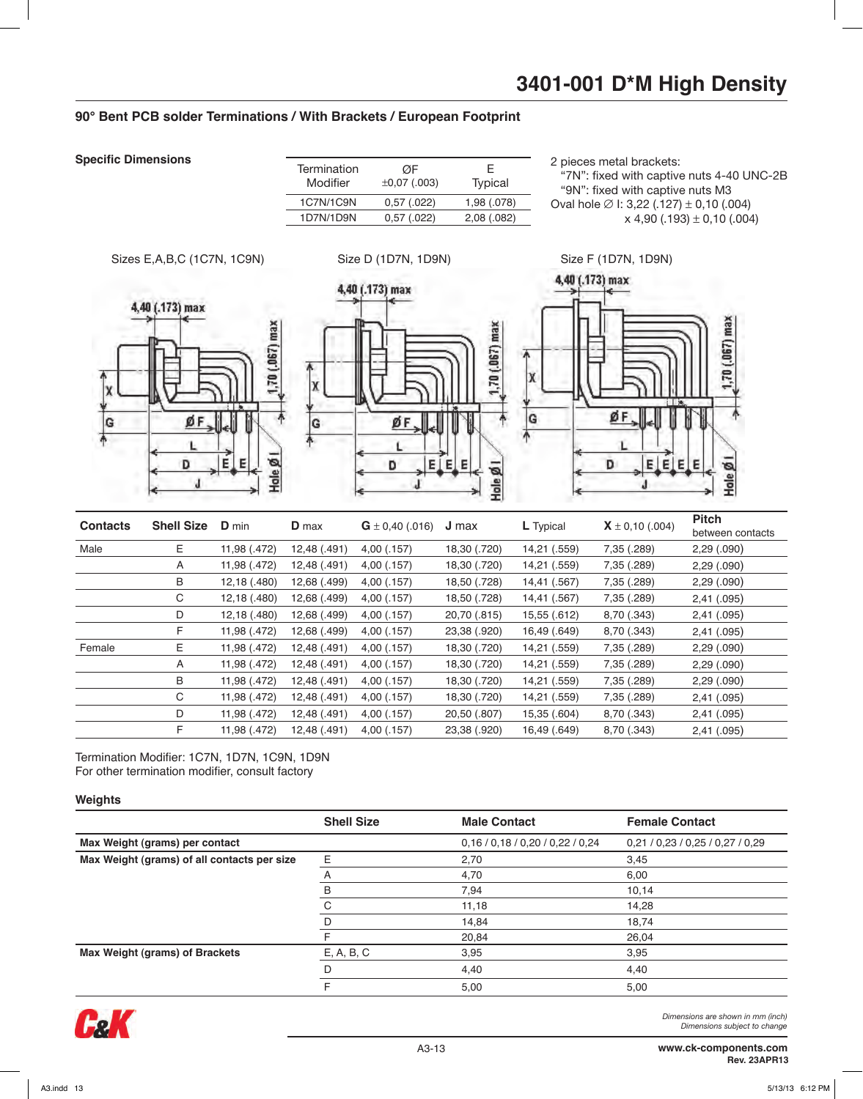#### **90° Bent PCB solder Terminations / With Brackets / European Footprint**

**Specific Dimensions**

| Termination<br>Modifier | ØF<br>$\pm 0.07$ (.003) | F.<br>Typical |
|-------------------------|-------------------------|---------------|
| 1C7N/1C9N               | 0,57(.022)              | 1,98 (.078)   |
| 1D7N/1D9N               | 0,57(.022)              | 2,08(.082)    |
|                         |                         |               |

2 pieces metal brackets:

 "7N": fixed with captive nuts 4-40 UNC-2B "9N": fixed with captive nuts M3 Oval hole  $Ø$  I: 3.22 (.127) ± 0.10 (.004)  $x$  4.90 (.193)  $\pm$  0.10 (.004)



Termination Modifier: 1C7N, 1D7N, 1C9N, 1D9N For other termination modifier, consult factory

#### **Weights**

|                                             | <b>Shell Size</b> | <b>Male Contact</b>      | <b>Female Contact</b>    |
|---------------------------------------------|-------------------|--------------------------|--------------------------|
| Max Weight (grams) per contact              |                   | 0,16/0,18/0,20/0,22/0,24 | 0,21/0,23/0,25/0,27/0,29 |
| Max Weight (grams) of all contacts per size | E                 | 2,70                     | 3,45                     |
|                                             | A                 | 4,70                     | 6,00                     |
|                                             | В                 | 7,94                     | 10,14                    |
|                                             | C                 | 11,18                    | 14,28                    |
|                                             | D                 | 14,84                    | 18,74                    |
|                                             | F                 | 20,84                    | 26,04                    |
| Max Weight (grams) of Brackets              | E, A, B, C        | 3,95                     | 3,95                     |
|                                             | D                 | 4,40                     | 4,40                     |
|                                             | F                 | 5,00                     | 5,00                     |

D 11,98 (.472) 12,48 (.491) 4,00 (.157) 20,50 (.807) 15,35 (.604) 8,70 (.343) 2,41 (.095) F 11,98 (.472) 12,48 (.491) 4,00 (.157) 23,38 (.920) 16,49 (.649) 8,70 (.343) 2,41 (.095)

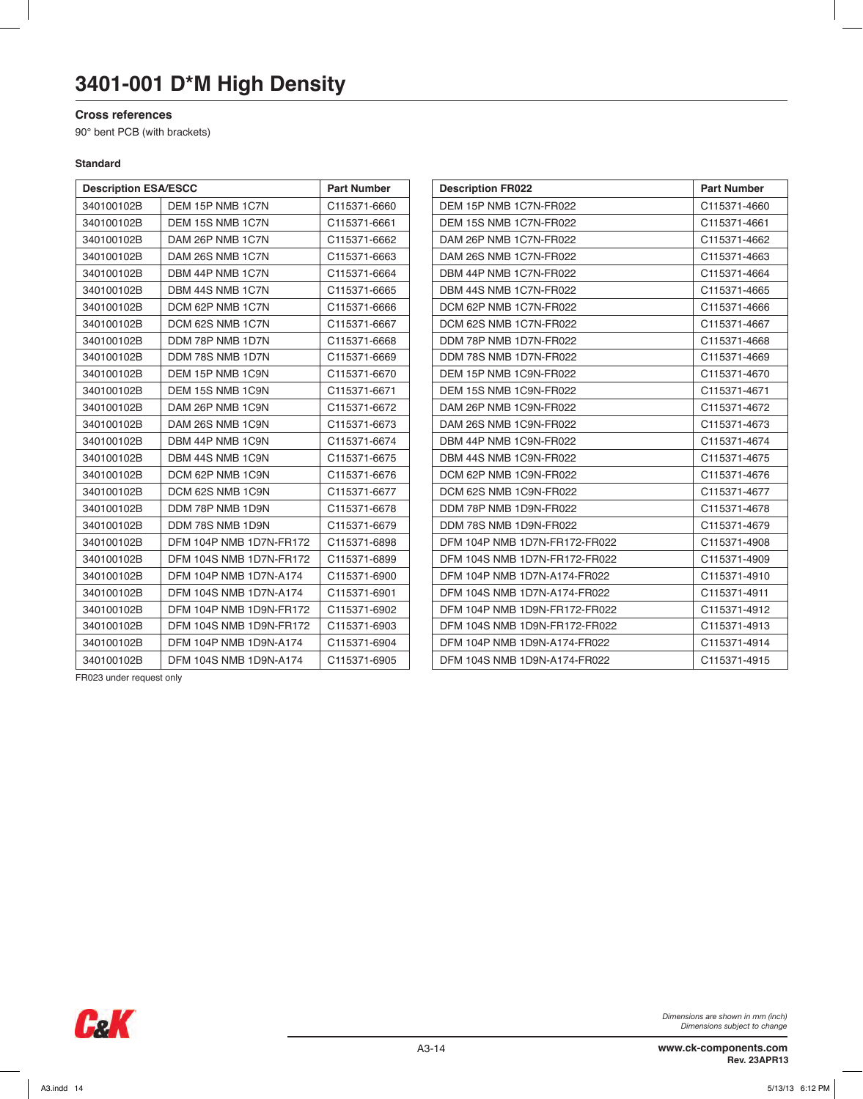#### **Cross references**

90° bent PCB (with brackets)

#### **Standard**

| <b>Description ESA/ESCC</b> |                               | <b>Part Number</b> | <b>Description FR022</b>      | <b>Part Number</b> |
|-----------------------------|-------------------------------|--------------------|-------------------------------|--------------------|
| 340100102B                  | DEM 15P NMB 1C7N              | C115371-6660       | DEM 15P NMB 1C7N-FR022        | C115371-4660       |
| 340100102B                  | DEM 15S NMB 1C7N              | C115371-6661       | DEM 15S NMB 1C7N-FR022        | C115371-4661       |
| 340100102B                  | DAM 26P NMB 1C7N              | C115371-6662       | DAM 26P NMB 1C7N-FR022        | C115371-4662       |
| 340100102B                  | DAM 26S NMB 1C7N              | C115371-6663       | DAM 26S NMB 1C7N-FR022        | C115371-4663       |
| 340100102B                  | DBM 44P NMB 1C7N              | C115371-6664       | DBM 44P NMB 1C7N-FR022        | C115371-4664       |
| 340100102B                  | DBM 44S NMB 1C7N              | C115371-6665       | DBM 44S NMB 1C7N-FR022        | C115371-4665       |
| 340100102B                  | DCM 62P NMB 1C7N              | C115371-6666       | DCM 62P NMB 1C7N-FR022        | C115371-4666       |
| 340100102B                  | DCM 62S NMB 1C7N              | C115371-6667       | DCM 62S NMB 1C7N-FR022        | C115371-4667       |
| 340100102B                  | DDM 78P NMB 1D7N              | C115371-6668       | DDM 78P NMB 1D7N-FR022        | C115371-4668       |
| 340100102B                  | DDM 78S NMB 1D7N              | C115371-6669       | DDM 78S NMB 1D7N-FR022        | C115371-4669       |
| 340100102B                  | DEM 15P NMB 1C9N              | C115371-6670       | DEM 15P NMB 1C9N-FR022        | C115371-4670       |
| 340100102B                  | DEM 15S NMB 1C9N              | C115371-6671       | DEM 15S NMB 1C9N-FR022        | C115371-4671       |
| 340100102B                  | DAM 26P NMB 1C9N              | C115371-6672       | DAM 26P NMB 1C9N-FR022        | C115371-4672       |
| 340100102B                  | DAM 26S NMB 1C9N              | C115371-6673       | DAM 26S NMB 1C9N-FR022        | C115371-4673       |
| 340100102B                  | DBM 44P NMB 1C9N              | C115371-6674       | DBM 44P NMB 1C9N-FR022        | C115371-4674       |
| 340100102B                  | DBM 44S NMB 1C9N              | C115371-6675       | DBM 44S NMB 1C9N-FR022        | C115371-4675       |
| 340100102B                  | DCM 62P NMB 1C9N              | C115371-6676       | DCM 62P NMB 1C9N-FR022        | C115371-4676       |
| 340100102B                  | DCM 62S NMB 1C9N              | C115371-6677       | DCM 62S NMB 1C9N-FR022        | C115371-4677       |
| 340100102B                  | DDM 78P NMB 1D9N              | C115371-6678       | DDM 78P NMB 1D9N-FR022        | C115371-4678       |
| 340100102B                  | DDM 78S NMB 1D9N              | C115371-6679       | DDM 78S NMB 1D9N-FR022        | C115371-4679       |
| 340100102B                  | DFM 104P NMB 1D7N-FR172       | C115371-6898       | DFM 104P NMB 1D7N-FR172-FR022 | C115371-4908       |
| 340100102B                  | DFM 104S NMB 1D7N-FR172       | C115371-6899       | DFM 104S NMB 1D7N-FR172-FR022 | C115371-4909       |
| 340100102B                  | DFM 104P NMB 1D7N-A174        | C115371-6900       | DFM 104P NMB 1D7N-A174-FR022  | C115371-4910       |
| 340100102B                  | DFM 104S NMB 1D7N-A174        | C115371-6901       | DFM 104S NMB 1D7N-A174-FR022  | C115371-4911       |
| 340100102B                  | DFM 104P NMB 1D9N-FR172       | C115371-6902       | DFM 104P NMB 1D9N-FR172-FR022 | C115371-4912       |
| 340100102B                  | DFM 104S NMB 1D9N-FR172       | C115371-6903       | DFM 104S NMB 1D9N-FR172-FR022 | C115371-4913       |
| 340100102B                  | DFM 104P NMB 1D9N-A174        | C115371-6904       | DFM 104P NMB 1D9N-A174-FR022  | C115371-4914       |
| 340100102B                  | <b>DFM 104S NMB 1D9N-A174</b> | C115371-6905       | DFM 104S NMB 1D9N-A174-FR022  | C115371-4915       |

FR023 under request only

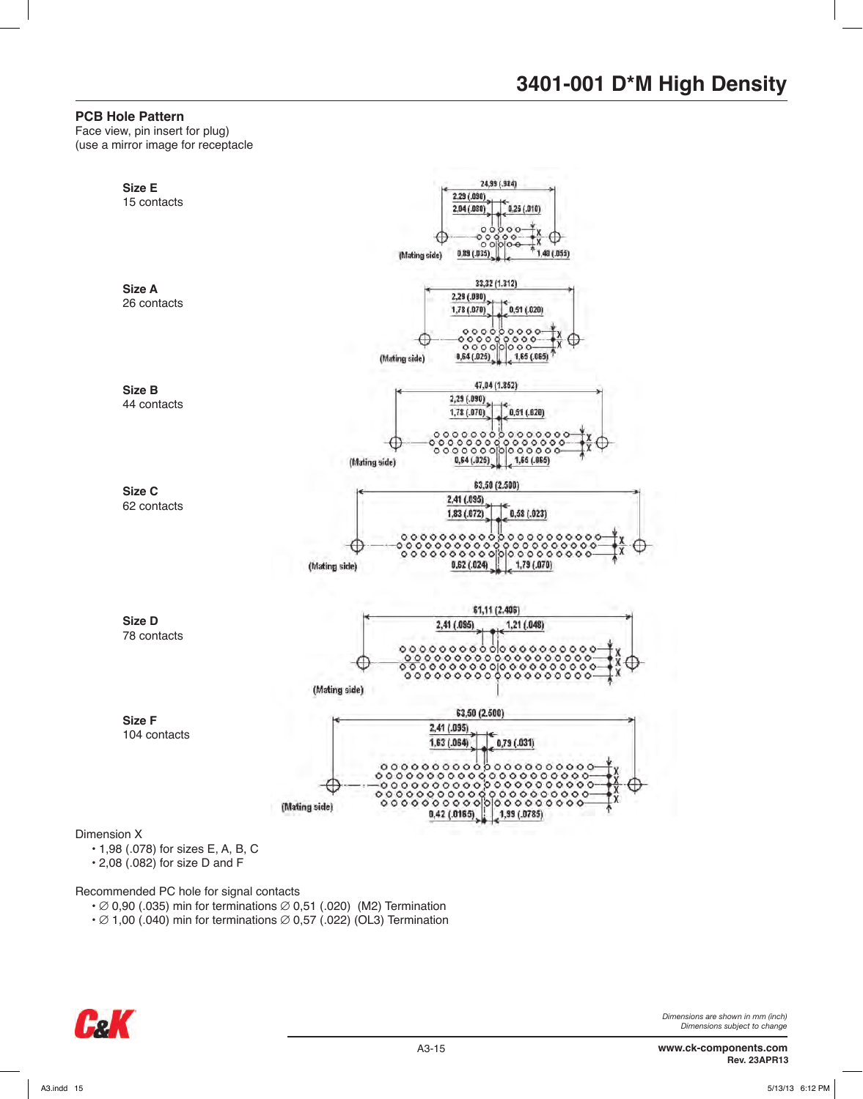#### **PCB Hole Pattern**

Face view, pin insert for plug) (use a mirror image for receptacle



Recommended PC hole for signal contacts

- $\cdot \emptyset$  0,90 (.035) min for terminations  $\emptyset$  0,51 (.020) (M2) Termination
- $\cdot$   $\varnothing$  1,00 (.040) min for terminations  $\varnothing$  0,57 (.022) (OL3) Termination